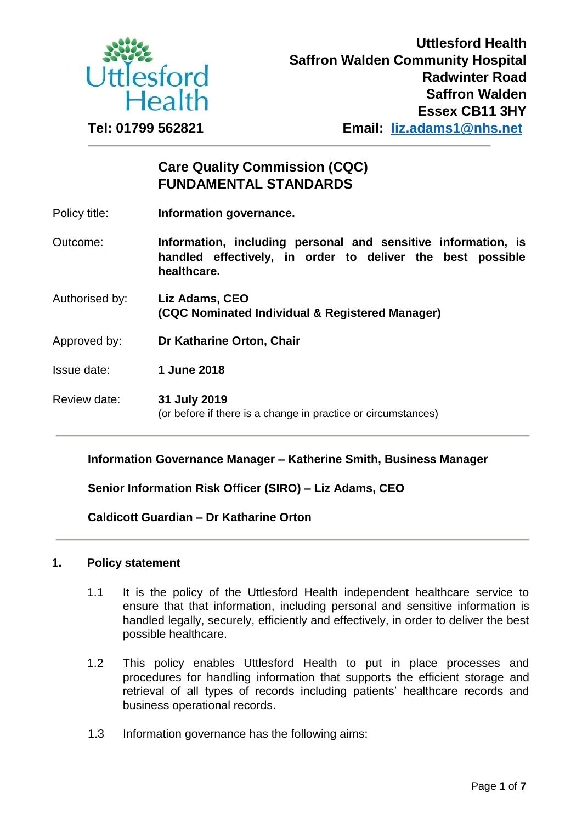

# **Care Quality Commission (CQC) FUNDAMENTAL STANDARDS**

| Policy title: | Information governance. |  |
|---------------|-------------------------|--|
|               |                         |  |

Outcome: **Information, including personal and sensitive information, is handled effectively, in order to deliver the best possible healthcare.** 

- Authorised by: **Liz Adams, CEO (CQC Nominated Individual & Registered Manager)**
- Approved by: **Dr Katharine Orton, Chair**
- Issue date: **1 June 2018**
- Review date: **31 July 2019**  (or before if there is a change in practice or circumstances)

## **Information Governance Manager – Katherine Smith, Business Manager**

**Senior Information Risk Officer (SIRO) – Liz Adams, CEO** 

**Caldicott Guardian – Dr Katharine Orton** 

#### **1. Policy statement**

- 1.1 It is the policy of the Uttlesford Health independent healthcare service to ensure that that information, including personal and sensitive information is handled legally, securely, efficiently and effectively, in order to deliver the best possible healthcare.
- 1.2 This policy enables Uttlesford Health to put in place processes and procedures for handling information that supports the efficient storage and retrieval of all types of records including patients' healthcare records and business operational records.
- 1.3 Information governance has the following aims: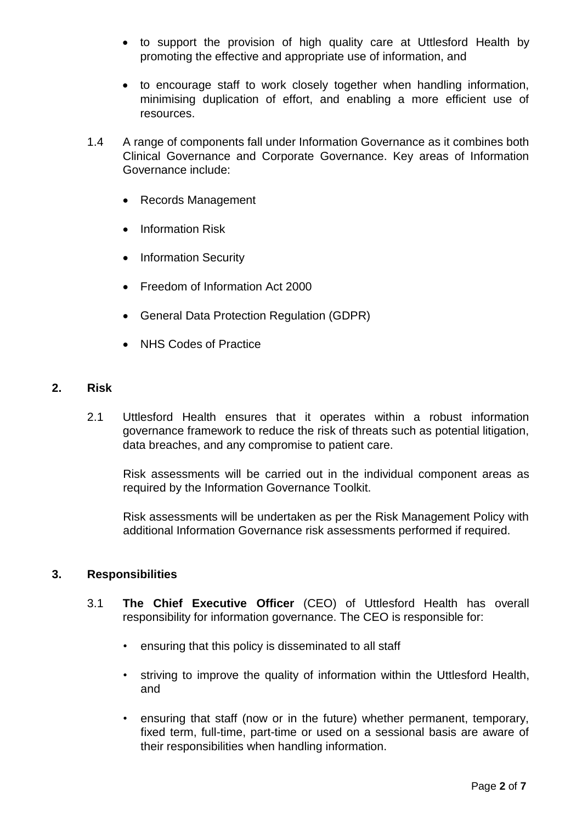- to support the provision of high quality care at Uttlesford Health by promoting the effective and appropriate use of information, and
- to encourage staff to work closely together when handling information, minimising duplication of effort, and enabling a more efficient use of resources.
- 1.4 A range of components fall under Information Governance as it combines both Clinical Governance and Corporate Governance. Key areas of Information Governance include:
	- Records Management
	- Information Risk
	- Information Security
	- Freedom of Information Act 2000
	- General Data Protection Regulation (GDPR)
	- NHS Codes of Practice

## **2. Risk**

2.1 Uttlesford Health ensures that it operates within a robust information governance framework to reduce the risk of threats such as potential litigation, data breaches, and any compromise to patient care.

Risk assessments will be carried out in the individual component areas as required by the Information Governance Toolkit.

Risk assessments will be undertaken as per the Risk Management Policy with additional Information Governance risk assessments performed if required.

#### **3. Responsibilities**

- 3.1 **The Chief Executive Officer** (CEO) of Uttlesford Health has overall responsibility for information governance. The CEO is responsible for:
	- ensuring that this policy is disseminated to all staff
	- striving to improve the quality of information within the Uttlesford Health, and
	- ensuring that staff (now or in the future) whether permanent, temporary, fixed term, full-time, part-time or used on a sessional basis are aware of their responsibilities when handling information.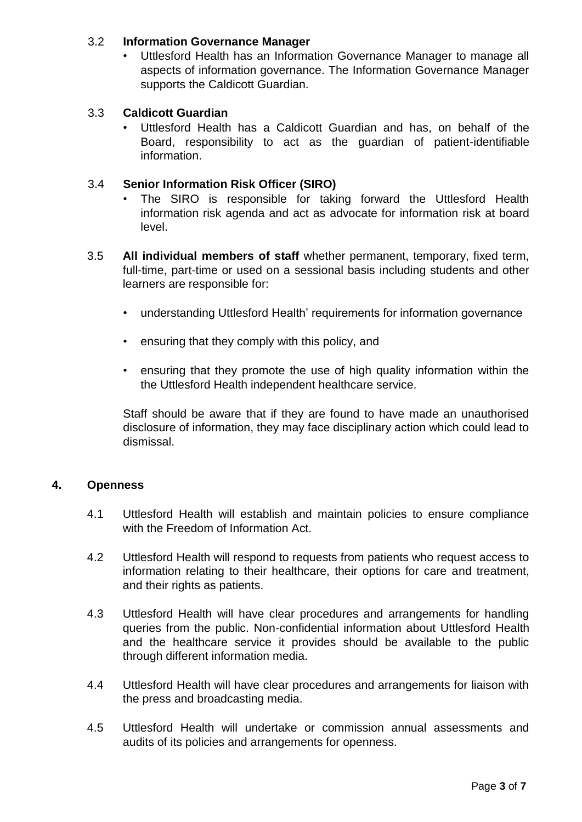# 3.2 **Information Governance Manager**

• Uttlesford Health has an Information Governance Manager to manage all aspects of information governance. The Information Governance Manager supports the Caldicott Guardian.

# 3.3 **Caldicott Guardian**

• Uttlesford Health has a Caldicott Guardian and has, on behalf of the Board, responsibility to act as the guardian of patient-identifiable information.

## 3.4 **Senior Information Risk Officer (SIRO)**

- The SIRO is responsible for taking forward the Uttlesford Health information risk agenda and act as advocate for information risk at board level.
- 3.5 **All individual members of staff** whether permanent, temporary, fixed term, full-time, part-time or used on a sessional basis including students and other learners are responsible for:
	- understanding Uttlesford Health' requirements for information governance
	- ensuring that they comply with this policy, and
	- ensuring that they promote the use of high quality information within the the Uttlesford Health independent healthcare service.

Staff should be aware that if they are found to have made an unauthorised disclosure of information, they may face disciplinary action which could lead to dismissal.

## **4. Openness**

- 4.1 Uttlesford Health will establish and maintain policies to ensure compliance with the Freedom of Information Act.
- 4.2 Uttlesford Health will respond to requests from patients who request access to information relating to their healthcare, their options for care and treatment, and their rights as patients.
- 4.3 Uttlesford Health will have clear procedures and arrangements for handling queries from the public. Non-confidential information about Uttlesford Health and the healthcare service it provides should be available to the public through different information media.
- 4.4 Uttlesford Health will have clear procedures and arrangements for liaison with the press and broadcasting media.
- 4.5 Uttlesford Health will undertake or commission annual assessments and audits of its policies and arrangements for openness.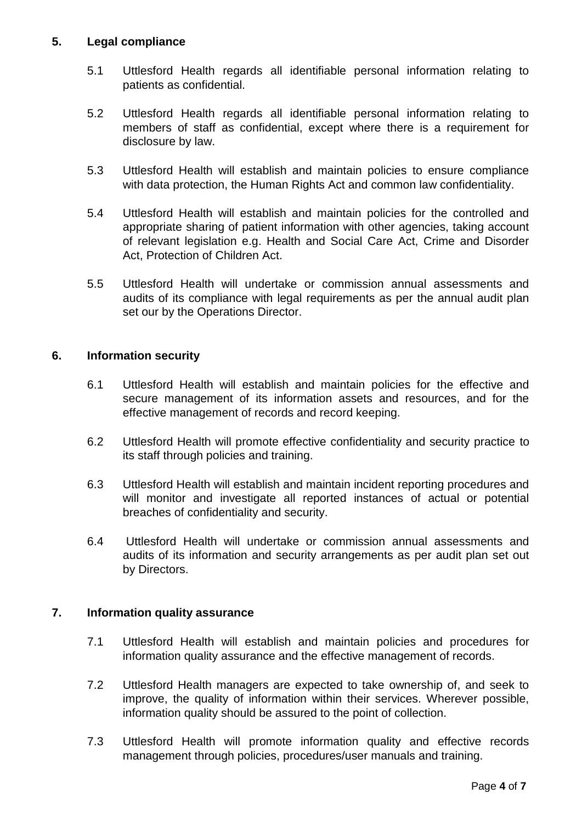# **5. Legal compliance**

- 5.1 Uttlesford Health regards all identifiable personal information relating to patients as confidential.
- 5.2 Uttlesford Health regards all identifiable personal information relating to members of staff as confidential, except where there is a requirement for disclosure by law.
- 5.3 Uttlesford Health will establish and maintain policies to ensure compliance with data protection, the Human Rights Act and common law confidentiality.
- 5.4 Uttlesford Health will establish and maintain policies for the controlled and appropriate sharing of patient information with other agencies, taking account of relevant legislation e.g. Health and Social Care Act, Crime and Disorder Act, Protection of Children Act.
- 5.5 Uttlesford Health will undertake or commission annual assessments and audits of its compliance with legal requirements as per the annual audit plan set our by the Operations Director.

## **6. Information security**

- 6.1 Uttlesford Health will establish and maintain policies for the effective and secure management of its information assets and resources, and for the effective management of records and record keeping.
- 6.2 Uttlesford Health will promote effective confidentiality and security practice to its staff through policies and training.
- 6.3 Uttlesford Health will establish and maintain incident reporting procedures and will monitor and investigate all reported instances of actual or potential breaches of confidentiality and security.
- 6.4 Uttlesford Health will undertake or commission annual assessments and audits of its information and security arrangements as per audit plan set out by Directors.

## **7. Information quality assurance**

- 7.1 Uttlesford Health will establish and maintain policies and procedures for information quality assurance and the effective management of records.
- 7.2 Uttlesford Health managers are expected to take ownership of, and seek to improve, the quality of information within their services. Wherever possible, information quality should be assured to the point of collection.
- 7.3 Uttlesford Health will promote information quality and effective records management through policies, procedures/user manuals and training.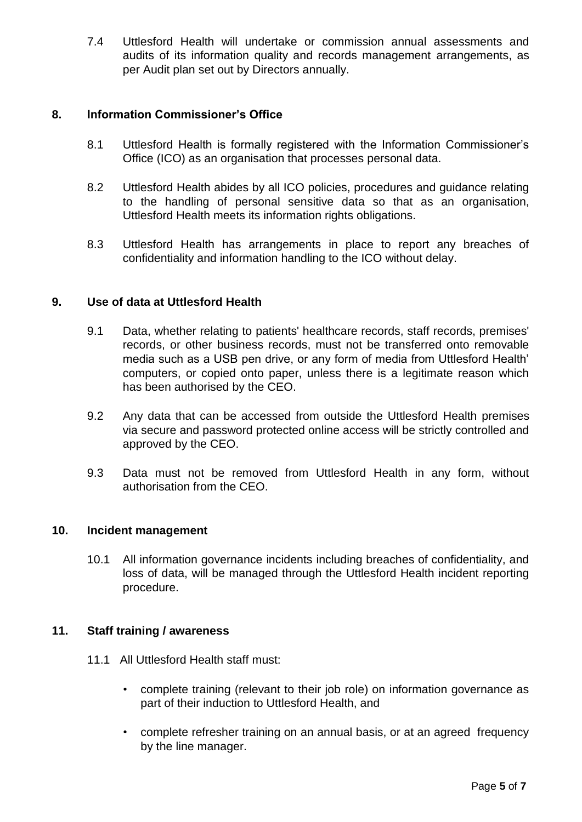7.4 Uttlesford Health will undertake or commission annual assessments and audits of its information quality and records management arrangements, as per Audit plan set out by Directors annually.

# **8. Information Commissioner's Office**

- 8.1 Uttlesford Health is formally registered with the Information Commissioner's Office (ICO) as an organisation that processes personal data.
- 8.2 Uttlesford Health abides by all ICO policies, procedures and guidance relating to the handling of personal sensitive data so that as an organisation, Uttlesford Health meets its information rights obligations.
- 8.3 Uttlesford Health has arrangements in place to report any breaches of confidentiality and information handling to the ICO without delay.

## **9. Use of data at Uttlesford Health**

- 9.1 Data, whether relating to patients' healthcare records, staff records, premises' records, or other business records, must not be transferred onto removable media such as a USB pen drive, or any form of media from Uttlesford Health' computers, or copied onto paper, unless there is a legitimate reason which has been authorised by the CEO.
- 9.2 Any data that can be accessed from outside the Uttlesford Health premises via secure and password protected online access will be strictly controlled and approved by the CEO.
- 9.3 Data must not be removed from Uttlesford Health in any form, without authorisation from the CEO.

#### **10. Incident management**

10.1 All information governance incidents including breaches of confidentiality, and loss of data, will be managed through the Uttlesford Health incident reporting procedure.

#### **11. Staff training / awareness**

- 11.1 All Uttlesford Health staff must:
	- complete training (relevant to their job role) on information governance as part of their induction to Uttlesford Health, and
	- complete refresher training on an annual basis, or at an agreed frequency by the line manager.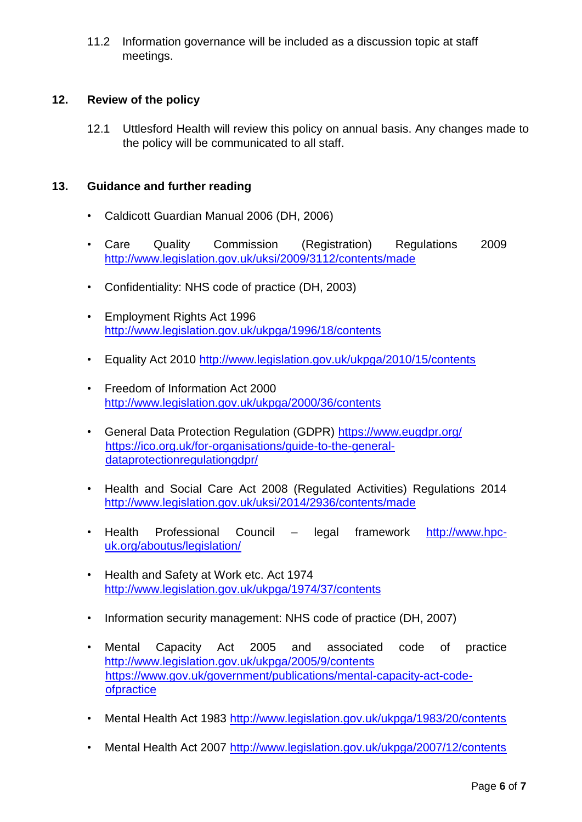11.2 Information governance will be included as a discussion topic at staff meetings.

# **12. Review of the policy**

12.1 Uttlesford Health will review this policy on annual basis. Any changes made to the policy will be communicated to all staff.

# **13. Guidance and further reading**

- Caldicott Guardian Manual 2006 (DH, 2006)
- Care Quality Commission (Registration) Regulations 2009 <http://www.legislation.gov.uk/uksi/2009/3112/contents/made>
- Confidentiality: NHS code of practice (DH, 2003)
- Employment Rights Act 1996 <http://www.legislation.gov.uk/ukpga/1996/18/contents>
- Equality Act 2010<http://www.legislation.gov.uk/ukpga/2010/15/contents>
- Freedom of Information Act 2000 <http://www.legislation.gov.uk/ukpga/2000/36/contents>
- General Data Protection Regulation (GDPR)<https://www.eugdpr.org/> [https://ico.org.uk/for-organisations/guide-to-the-general](https://ico.org.uk/for-organisations/guide-to-the-general-dataprotectionregulation-gdpr/)[dataprotectionregulationgdpr/](https://ico.org.uk/for-organisations/guide-to-the-general-dataprotectionregulation-gdpr/)
- Health and Social Care Act 2008 (Regulated Activities) Regulations 2014 <http://www.legislation.gov.uk/uksi/2014/2936/contents/made>
- Health Professional Council legal framework [http://www.hpc](http://www.hpc-uk.org/aboutus/legislation/)[uk.org/aboutus/legislation/](http://www.hpc-uk.org/aboutus/legislation/)
- Health and Safety at Work etc. Act 1974 <http://www.legislation.gov.uk/ukpga/1974/37/contents>
- Information security management: NHS code of practice (DH, 2007)
- Mental Capacity Act 2005 and associated code of practice <http://www.legislation.gov.uk/ukpga/2005/9/contents> [https://www.gov.uk/government/publications/mental-capacity-act-code](https://www.gov.uk/government/publications/mental-capacity-act-code-of-practice)[ofpractice](https://www.gov.uk/government/publications/mental-capacity-act-code-of-practice)
- Mental Health Act 1983<http://www.legislation.gov.uk/ukpga/1983/20/contents>
- Mental Health Act 2007<http://www.legislation.gov.uk/ukpga/2007/12/contents>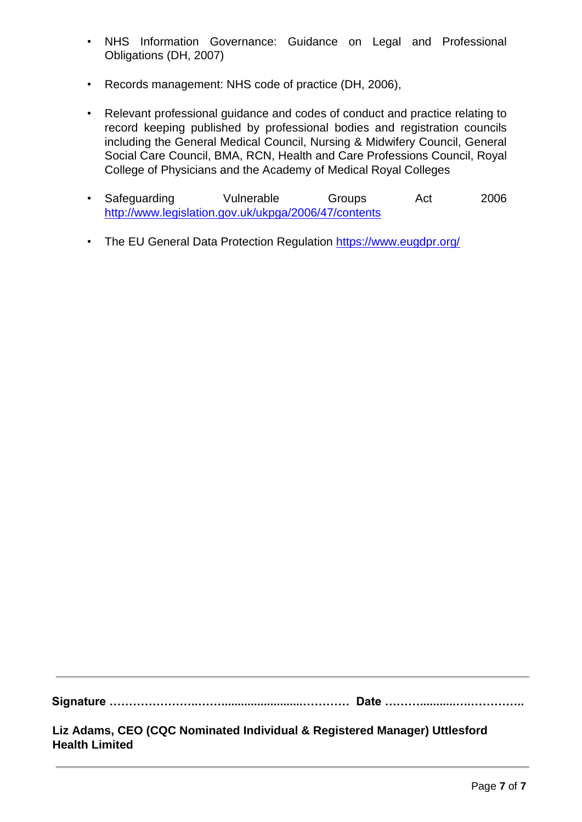- NHS Information Governance: Guidance on Legal and Professional Obligations (DH, 2007)
- Records management: NHS code of practice (DH, 2006),
- Relevant professional guidance and codes of conduct and practice relating to record keeping published by professional bodies and registration councils including the General Medical Council, Nursing & Midwifery Council, General Social Care Council, BMA, RCN, Health and Care Professions Council, Royal College of Physicians and the Academy of Medical Royal Colleges
- Safeguarding Vulnerable Groups Act 2006 <http://www.legislation.gov.uk/ukpga/2006/47/contents>
- The EU General Data Protection Regulation <https://www.eugdpr.org/>

**Signature …………………..…….........................………… Date ………...........….…………..** 

**Liz Adams, CEO (CQC Nominated Individual & Registered Manager) Uttlesford Health Limited**